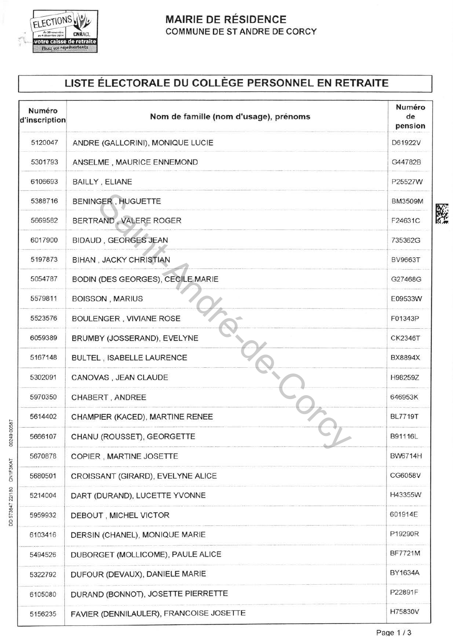

00249 00587

DD 573647 22/180 CN1F3KAT

### **MAIRIE DE RÉSIDENCE** COMMUNE DE ST ANDRE DE CORCY

# LISTE ÉLECTORALE DU COLLÈGE PERSONNEL EN RETRAITE

| Numéro<br>d'inscription | Nom de famille (nom d'usage), prénoms   | Numéro<br>de<br>pension |
|-------------------------|-----------------------------------------|-------------------------|
| 5120047                 | ANDRE (GALLORINI), MONIQUE LUCIE        | D61922V                 |
| 5301793                 | ANSELME, MAURICE ENNEMOND               | G44782B                 |
| 6106693                 | <b>BAILLY, ELIANE</b>                   | P25527W                 |
| 5388716                 | <b>BENINGER, HUGUETTE</b>               | <b>BM3509M</b>          |
| 5669582                 | BERTRAND, VALERE ROGER                  | F24631C                 |
| 6017900                 | <b>BIDAUD, GEORGES JEAN</b>             | 735362G                 |
| 5197873                 | <b>BIHAN, JACKY CHRISTIAN</b>           | <b>BV9663T</b>          |
| 5054787                 | BODIN (DES GEORGES), CECILE MARIE       | G27468G                 |
| 5579811                 | <b>BOISSON, MARIUS</b>                  | E09533W                 |
| 5523576                 | BOULENGER, VIVIANE ROSE                 | F01343P                 |
| 6059389                 | BRUMBY (JOSSERAND), EVELYNE             | <b>CK2346T</b>          |
| 5167148                 | <b>BULTEL, ISABELLE LAURENCE</b>        | <b>BX8894X</b>          |
| 5302091                 | CANOVAS, JEAN CLAUDE                    | H98259Z                 |
| 5970350                 | CHABERT, ANDREE                         | 646953K                 |
| 5614402                 | CHAMPIER (KACED), MARTINE RENEE         | <b>BL7719T</b>          |
| 5666107                 | CHANU (ROUSSET), GEORGETTE              | B91116L                 |
| 5670878                 | COPIER, MARTINE JOSETTE                 | <b>BW6714H</b>          |
| 5680501                 | CROISSANT (GIRARD), EVELYNE ALICE       | CG6058V                 |
| 5214004                 | DART (DURAND), LUCETTE YVONNE           | H43355W                 |
| 5959932                 | DEBOUT, MICHEL VICTOR                   | 601914E                 |
| 6103416                 | DERSIN (CHANEL), MONIQUE MARIE          | P19290R                 |
| 5494526                 | DUBORGET (MOLLICOME), PAULE ALICE       | BF7721M                 |
| 5322792                 | DUFOUR (DEVAUX), DANIELE MARIE          | BY1634A                 |
| 6105080                 | DURAND (BONNOT), JOSETTE PIERRETTE      | P22891F                 |
| 5156235                 | FAVIER (DENNILAULER), FRANCOISE JOSETTE | H75830V                 |

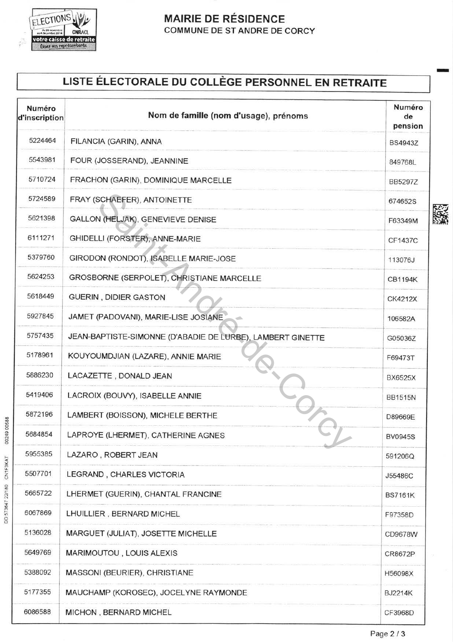

#### **MAIRIE DE RÉSIDENCE** COMMUNE DE ST ANDRE DE CORCY

## LISTE ÉLECTORALE DU COLLÈGE PERSONNEL EN RETRAITE

| Numéro<br>d'inscription | Nom de famille (nom d'usage), prénoms                      | Numéro<br>de<br>pension |
|-------------------------|------------------------------------------------------------|-------------------------|
| 5224464                 | FILANCIA (GARIN), ANNA                                     | <b>BS4943Z</b>          |
| 5543981                 | FOUR (JOSSERAND), JEANNINE                                 | 849768L                 |
| 5710724                 | FRACHON (GARIN), DOMINIQUE MARCELLE                        | <b>BB5297Z</b>          |
| 5724589                 | FRAY (SCHAEFER), ANTOINETTE                                | 674652S                 |
| 5621398                 | GALLON (HELJAK), GENEVIEVE DENISE                          | F63349M                 |
| 6111271                 | GHIDELLI (FORSTER), ANNE-MARIE                             | <b>CF1437C</b>          |
| 5379760                 | GIRODON (RONDOT), ISABELLE MARIE-JOSE                      | 113076J                 |
| 5624253                 | GROSBORNE (SERPOLET), CHRISTIANE MARCELLE                  | <b>CB1194K</b>          |
| 5618449                 | <b>GUERIN, DIDIER GASTON</b>                               | CK4212X                 |
| 5927845                 | JAMET (PADOVANI), MARIE-LISE JOSIANE                       | 106582A                 |
| 5757435                 | JEAN-BAPTISTE-SIMONNE (D'ABADIE DE LURBE), LAMBERT GINETTE | G05036Z                 |
| 5178961                 | KOUYOUMDJIAN (LAZARE), ANNIE MARIE                         | F69473T                 |
| 5886230                 | LACAZETTE, DONALD JEAN                                     | <b>BX6525X</b>          |
| 5419406                 | LACROIX (BOUVY), ISABELLE ANNIE                            | <b>BB1515N</b>          |
| 5872196                 | LAMBERT (BOISSON), MICHELE BERTHE                          | D89669E                 |
| 5684854                 | LAPROYE (LHERMET), CATHERINE AGNES                         | <b>BV0945S</b>          |
| 5955385                 | LAZARO, ROBERT JEAN                                        | 591206Q                 |
| 5507701                 | LEGRAND, CHARLES VICTORIA                                  | J55486C                 |
| 5665722                 | LHERMET (GUERIN), CHANTAL FRANCINE                         | <b>BS7161K</b>          |
| 6067869                 | LHUILLIER, BERNARD MICHEL                                  | F97358D                 |
| 5136028                 | MARGUET (JULIAT), JOSETTE MICHELLE                         | CD9678W                 |
| 5649769                 | MARIMOUTOU, LOUIS ALEXIS                                   | CR8672P                 |
| 5388092                 | MASSONI (BEURIER), CHRISTIANE                              | H56098X                 |
| 5177355                 | MAUCHAMP (KOROSEC), JOCELYNE RAYMONDE                      | <b>BJ2214K</b>          |
| 6086588                 | MICHON, BERNARD MICHEL                                     | CF3968D                 |



00249 00588